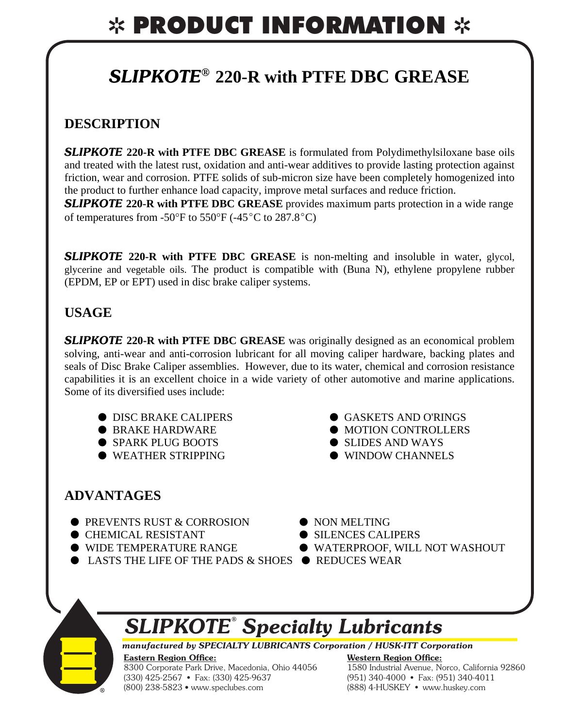# ✲ PRODUCT INFORMATION ✲

### *SLIPKOTE®* **220-R with PTFE DBC GREASE**

### **DESCRIPTION**

**SLIPKOTE 220-R with PTFE DBC GREASE** is formulated from Polydimethylsiloxane base oils and treated with the latest rust, oxidation and anti-wear additives to provide lasting protection against friction, wear and corrosion. PTFE solids of sub-micron size have been completely homogenized into the product to further enhance load capacity, improve metal surfaces and reduce friction.

**SLIPKOTE 220-R with PTFE DBC GREASE** provides maximum parts protection in a wide range of temperatures from -50 $\mathrm{^{\circ}F}$  to 550 $\mathrm{^{\circ}F}$  (-45 $\mathrm{^{\circ}C}$  to 287.8 $\mathrm{^{\circ}C}$ )

**SLIPKOTE 220-R with PTFE DBC GREASE** is non-melting and insoluble in water, glycol, glycerine and vegetable oils. The product is compatible with (Buna N), ethylene propylene rubber (EPDM, EP or EPT) used in disc brake caliper systems.

### **USAGE**

**SLIPKOTE 220-R with PTFE DBC GREASE** was originally designed as an economical problem solving, anti-wear and anti-corrosion lubricant for all moving caliper hardware, backing plates and seals of Disc Brake Caliper assemblies. However, due to its water, chemical and corrosion resistance capabilities it is an excellent choice in a wide variety of other automotive and marine applications. Some of its diversified uses include:

- $\bullet$  DISC BRAKE CALIPERS  $\bullet$  GASKETS AND O'RINGS
- $\bullet$  BRAKE HARDWARE  $\bullet$  MOTION CONTROLLERS
- $\bullet$  SPARK PLUG BOOTS  $\bullet$  SLIDES AND WAYS
- $\bullet$  WEATHER STRIPPING  $\bullet$  WINDOW CHANNELS
- -

### **ADVANTAGES**

- $\bullet$  PREVENTS RUST & CORROSION  $\bullet$  NON MELTING
- $\bullet$  CHEMICAL RESISTANT  $\bullet$  SILENCES CALIPERS
- 
- **LASTS THE LIFE OF THE PADS & SHOES**  $\bullet$  **REDUCES WEAR**
- 
- 
- $\bullet$  WIDE TEMPERATURE RANGE  $\bullet$  WATERPROOF, WILL NOT WASHOUT
	-

# *SLIPKOTE® Specialty Lubricants*

*manufactured by SPECIALTY LUBRICANTS Corporation / HUSK-ITT Corporation* 

#### **Eastern Region Offi ce:** 8300 Corporate Park Drive, Macedonia, Ohio 44056 (330) 425-2567 • Fax: (330) 425-9637 (800) 238-5823 • www.speclubes.com

**Western Region Offi ce:** 1580 Industrial Avenue, Norco, California 92860 (951) 340-4000 • Fax: (951) 340-4011 (888) 4-HUSKEY • www.huskey.com